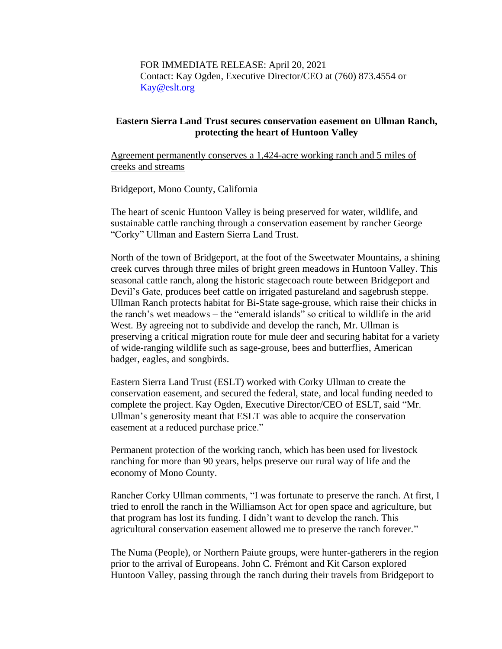FOR IMMEDIATE RELEASE: April 20, 2021 Contact: Kay Ogden, Executive Director/CEO at (760) 873.4554 or [Kay@eslt.org](mailto:Kay@eslt.org)

## **Eastern Sierra Land Trust secures conservation easement on Ullman Ranch, protecting the heart of Huntoon Valley**

Agreement permanently conserves a 1,424-acre working ranch and 5 miles of creeks and streams

Bridgeport, Mono County, California

The heart of scenic Huntoon Valley is being preserved for water, wildlife, and sustainable cattle ranching through a conservation easement by rancher George "Corky" Ullman and Eastern Sierra Land Trust.

North of the town of Bridgeport, at the foot of the Sweetwater Mountains, a shining creek curves through three miles of bright green meadows in Huntoon Valley. This seasonal cattle ranch, along the historic stagecoach route between Bridgeport and Devil's Gate, produces beef cattle on irrigated pastureland and sagebrush steppe. Ullman Ranch protects habitat for Bi-State sage-grouse, which raise their chicks in the ranch's wet meadows – the "emerald islands" so critical to wildlife in the arid West. By agreeing not to subdivide and develop the ranch, Mr. Ullman is preserving a critical migration route for mule deer and securing habitat for a variety of wide-ranging wildlife such as sage-grouse, bees and butterflies, American badger, eagles, and songbirds.

Eastern Sierra Land Trust (ESLT) worked with Corky Ullman to create the conservation easement, and secured the federal, state, and local funding needed to complete the project. Kay Ogden, Executive Director/CEO of ESLT, said "Mr. Ullman's generosity meant that ESLT was able to acquire the conservation easement at a reduced purchase price."

Permanent protection of the working ranch, which has been used for livestock ranching for more than 90 years, helps preserve our rural way of life and the economy of Mono County.

Rancher Corky Ullman comments, "I was fortunate to preserve the ranch. At first, I tried to enroll the ranch in the Williamson Act for open space and agriculture, but that program has lost its funding. I didn't want to develop the ranch. This agricultural conservation easement allowed me to preserve the ranch forever."

The Numa (People), or Northern Paiute groups, were hunter-gatherers in the region prior to the arrival of Europeans. John C. Frémont and Kit Carson explored Huntoon Valley, passing through the ranch during their travels from Bridgeport to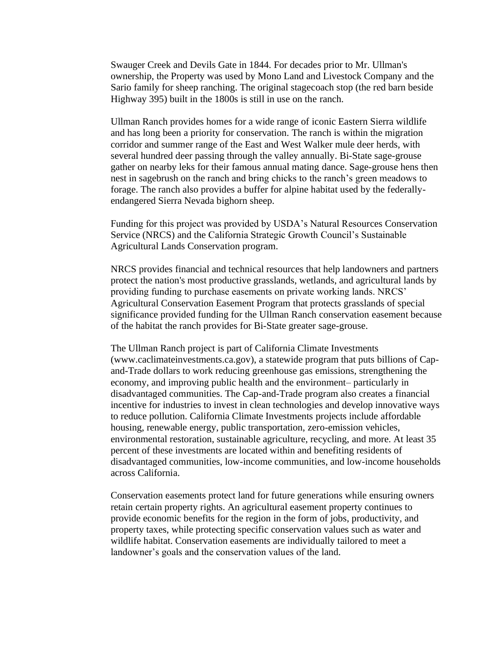Swauger Creek and Devils Gate in 1844. For decades prior to Mr. Ullman's ownership, the Property was used by Mono Land and Livestock Company and the Sario family for sheep ranching. The original stagecoach stop (the red barn beside Highway 395) built in the 1800s is still in use on the ranch.

Ullman Ranch provides homes for a wide range of iconic Eastern Sierra wildlife and has long been a priority for conservation. The ranch is within the migration corridor and summer range of the East and West Walker mule deer herds, with several hundred deer passing through the valley annually. Bi-State sage-grouse gather on nearby leks for their famous annual mating dance. Sage-grouse hens then nest in sagebrush on the ranch and bring chicks to the ranch's green meadows to forage. The ranch also provides a buffer for alpine habitat used by the federallyendangered Sierra Nevada bighorn sheep.

Funding for this project was provided by USDA's Natural Resources Conservation Service (NRCS) and the California Strategic Growth Council's Sustainable Agricultural Lands Conservation program.

NRCS provides financial and technical resources that help landowners and partners protect the nation's most productive grasslands, wetlands, and agricultural lands by providing funding to purchase easements on private working lands. NRCS' Agricultural Conservation Easement Program that protects grasslands of special significance provided funding for the Ullman Ranch conservation easement because of the habitat the ranch provides for Bi-State greater sage-grouse.

The Ullman Ranch project is part of California Climate Investments (www.caclimateinvestments.ca.gov), a statewide program that puts billions of Capand-Trade dollars to work reducing greenhouse gas emissions, strengthening the economy, and improving public health and the environment– particularly in disadvantaged communities. The Cap-and-Trade program also creates a financial incentive for industries to invest in clean technologies and develop innovative ways to reduce pollution. California Climate Investments projects include affordable housing, renewable energy, public transportation, zero-emission vehicles, environmental restoration, sustainable agriculture, recycling, and more. At least 35 percent of these investments are located within and benefiting residents of disadvantaged communities, low-income communities, and low-income households across California.

Conservation easements protect land for future generations while ensuring owners retain certain property rights. An agricultural easement property continues to provide economic benefits for the region in the form of jobs, productivity, and property taxes, while protecting specific conservation values such as water and wildlife habitat. Conservation easements are individually tailored to meet a landowner's goals and the conservation values of the land.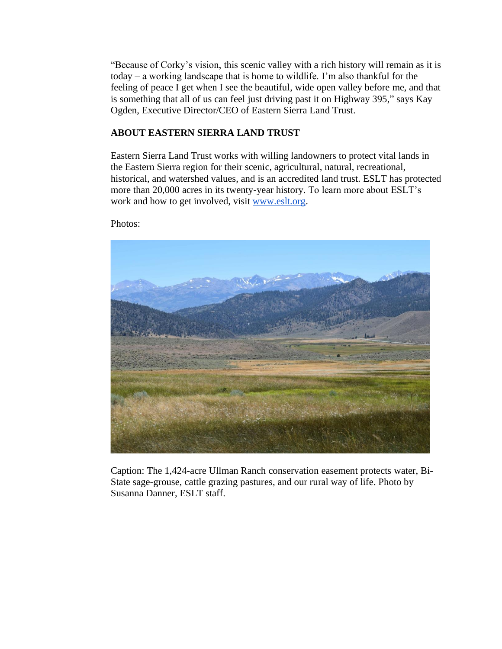"Because of Corky's vision, this scenic valley with a rich history will remain as it is today – a working landscape that is home to wildlife. I'm also thankful for the feeling of peace I get when I see the beautiful, wide open valley before me, and that is something that all of us can feel just driving past it on Highway 395," says Kay Ogden, Executive Director/CEO of Eastern Sierra Land Trust.

## **ABOUT EASTERN SIERRA LAND TRUST**

Eastern Sierra Land Trust works with willing landowners to protect vital lands in the Eastern Sierra region for their scenic, agricultural, natural, recreational, historical, and watershed values, and is an accredited land trust. ESLT has protected more than 20,000 acres in its twenty-year history. To learn more about ESLT's work and how to get involved, visit [www.eslt.org.](http://www.eslt.org/)

Photos:



Caption: The 1,424-acre Ullman Ranch conservation easement protects water, Bi-State sage-grouse, cattle grazing pastures, and our rural way of life. Photo by Susanna Danner, ESLT staff.